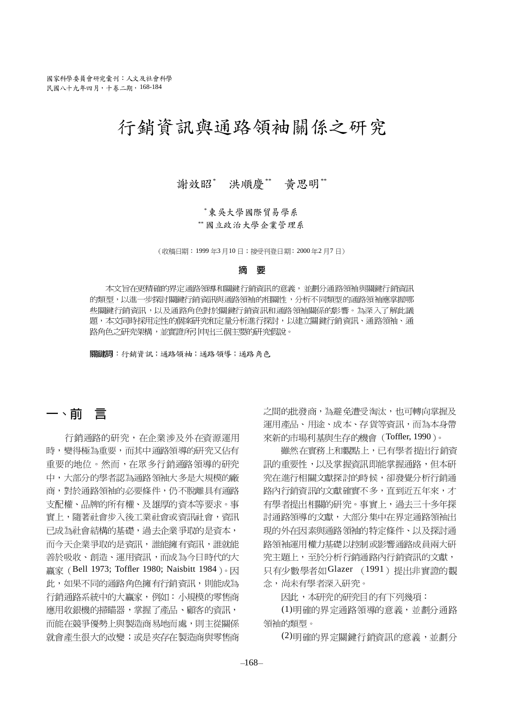# 行銷資訊與通路領袖關係之研究

謝效昭\* 洪順慶\* 黄思明\*\*

\*東吳大學國際貿易學系 \*\* 國立政治大學企業管理系

(收稿日期: 1999年3月10日;接受刊登日期: 2000年2月7日)

#### 摘 栗

本文旨在更精確的界定通路領導和關鍵行銷資訊的意義,並劃分通路領袖與關鍵行銷資訊 的類型,以進一步探討關鍵行銷資訊與通路領袖的相關性,分析不同類型的通路領袖應掌握哪 些關鍵行銷資訊,以及通路角色對於關鍵行銷資訊和通路領袖關係的影響。為深入了解此議 題,本文同時採用定性的個案研究和定量分析進行探討,以建立關鍵行銷資訊、通路領袖、通 路角色之研究架構,並實證所引申出三個主要的研究假說。

關鍵詞: 行銷資訊; 通路領袖; 通路領導; 通路角色

## 一、前言

行銷通路的研究, 在企業涉及外在資源運用 時,變得極為重要,而其中通路領導的研究又佔有 重要的地位。然而,在眾多行銷通路領導的研究 中,大部分的學者認為通路領袖大多是大規模的廠 商,對於通路領袖的必要條件,仍不脫離具有通路 支配權、品牌的所有權、及雄厚的資本等要求。事 實上,隨著社會步入後工業社會或資訊社會,資訊 已成為社會結構的基礎,過去企業爭取的是資本, 而今天企業爭取的是資訊,誰能擁有資訊,誰就能 善於吸收、創造、運用資訊,而成為今日時代的大 贏家 (Bell 1973; Toffler 1980; Naisbitt 1984)。因 此,如果不同的通路角色擁有行銷資訊,則能成為 行銷通路系統中的大贏家,例如:小規模的零售商 應用收銀機的掃瞄器,掌握了產品、顧客的資訊, 而能在競爭優勢上與製造商易地而處,則主從關係 就會產生很大的改變;或是夾存在製造商與零售商 之間的批發商,為避免遭受淘汰,也可轉向掌握及 運用產品、用途、成本、存貨等資訊,而為本身帶 來新的市場利基與生存的機會 (Toffler, 1990)。

雖然在實務上和觀點上,已有學者提出行銷資 訊的重要性,以及掌握資訊即能掌握通路,但本研 究在進行相關文獻探討的時候,卻發覺分析行銷通 路內行銷資訊的文獻確實不多,直到沂五年來,才 有學者提出相關的研究。事實上,過去三十多年探 討通路領導的文獻,大部分集中在界定通路領袖出 現的外在因素與通路領袖的特定條件、以及探討通 路領袖運用權力基礎以控制或影響通路成員兩大研 究主題上,至於分析行銷涌路內行銷資訊的文獻, 只有少數學者如Glazer (1991) 提出非實證的觀 念, 尚未有學者深入研究。

因此,本研究的研究目的有下列幾項:

(1)明確的界定通路領導的意義,並劃分通路 領袖的類型。

(2) 明確的界定關鍵行銷資訊的意義,並劃分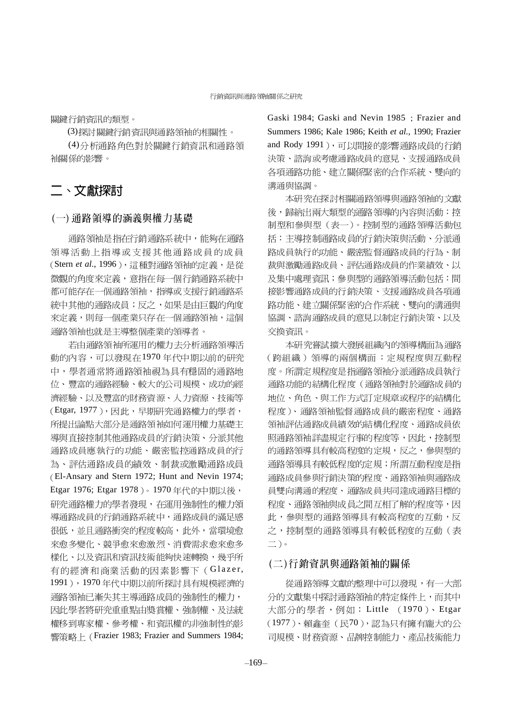關鍵行銷資訊的類型。

(3) 探討關鍵行銷資訊與通路領袖的相關性。

(4)分析涌路角色對於關鍵行銷資訊和涌路領 袖關係的影響。

### 二、文獻探討

#### (一) 通路領導的涵義與權力基礎

通路領袖是指在行銷通路系統中,能夠在通路 領導活動上指導或支援其他通路成員的成員 (Stern et al., 1996),這種對通路領袖的定義,是從 微觀的角度來定義,意指在每一個行銷通路系統中 都可能存在一個通路領袖,指導或支援行銷通路系 統中其他的通路成員;反之,如果是由巨觀的角度 來定義,則每一個產業只存在一個通路領袖,這個 通路領袖也就是主導整個產業的領導者。

若由通路領袖所運用的權力去分析通路領導活 動的內容,可以發現在1970年代中期以前的研究 中,學者通常將通路領袖視為具有穩固的通路地 位、豐富的通路經驗、較大的公司規模、成功的經 濟經驗、以及豐富的財務資源、人力資源、技術等 (Etgar, 1977),因此,早期研究通路權力的學者, 所提出論點大部分是通路領袖如何運用權力基礎主 導與直接控制其他通路成員的行銷決策、分派其他 通路成員應執行的功能、嚴密監控通路成員的行 為、評估通路成員的績效、制裁或激勵通路成員 El-Ansary and Stern 1972; Hunt and Nevin 1974; Etgar 1976; Etgar 1978)。1970年代的中期以後, 研究通路權力的學者發現,在運用強制性的權力領 導通路成員的行銷通路系統中,通路成員的滿足感 很低,並且通路衝突的程度較高,此外,當環境愈 來愈多變化、競爭愈來愈激烈、消費需求愈來愈多 樣化、以及資訊和資訊技術能夠快速轉換,幾平所 有的經濟和商業活動的因素影響下(Glazer, 1991), 1970年代中期以前所探討具有規模經濟的 通路領袖已漸失其主導通路成員的強制性的權力, 因此學者將研究重重點由獎賞權、強制權、及法統 權移到專家權、參考權、和資訊權的非強制性的影 響策略 ト (Frazier 1983; Frazier and Summers 1984;

Gaski 1984; Gaski and Nevin 1985; Frazier and Summers 1986; Kale 1986; Keith *et al.*, 1990; Frazier and Rody 1991), 可以間接的影響通路成員的行銷 決策、諮詢或考慮通路成員的意見、支援通路成員 各項通路功能、建立關係緊密的合作系統、雙向的 溝涌與協調。

本研究在探討相關通路領導與通路領袖的文獻 後,歸納出兩大類型的通路領導的內容與活動:控 制型和參與型(表一)。控制型的通路領導活動包 括:主導控制通路成員的行銷決策與活動、分派通 路成員執行的功能、嚴密監督通路成員的行為、制 裁與激勵通路成員、評估通路成員的作業績效、以 及集中處理資訊;參與型的通路領導活動包括:間 接影響通路成員的行銷決策、支援通路成員各項通 路功能、建立關係緊密的合作系統、雙向的溝通與 協調、諮詢通路成員的意見以制定行銷決策、以及 交換資訊。

本研究嘗試擴大發展組織內的領導構面為通路 (跨組織)領導的兩個構面:定規程度與互動程 度。所謂定規程度是指通路領袖分派通路成員執行 通路功能的結構化程度(通路領袖對於通路成員的 地位、角色、與工作方式訂定規章或程序的結構化 程度)、通路領袖監督通路成員的嚴密程度、通路 領袖評估通路成員績效的結構化程度、通路成員依 照通路領袖詳盡規定行事的程度等,因此,控制型 的通路領導具有較高程度的定規,反之,參與型的 通路領導具有較低程度的定規;所謂互動程度是指 通路成員參與行銷決策的程度、通路領袖與通路成 員雙向溝通的程度、通路成員共同達成通路目標的 程度、通路領袖與成員之間互相了解的程度等,因 此,參與型的通路領導具有較高程度的互動,反 之,控制型的通路領導具有較低程度的互動(表  $\equiv$ ).

### (二)行銷資訊與通路領袖的關係

從涌路領導文獻的整理中可以發現,有一大部 分的文獻集中探討通路領袖的特定條件上,而其中 大部分的學者,例如: Little (1970)、Etgar (1977)、賴鑫奎(民70),認為只有擁有龐大的公 司規模、財務資源、品牌控制能力、產品技術能力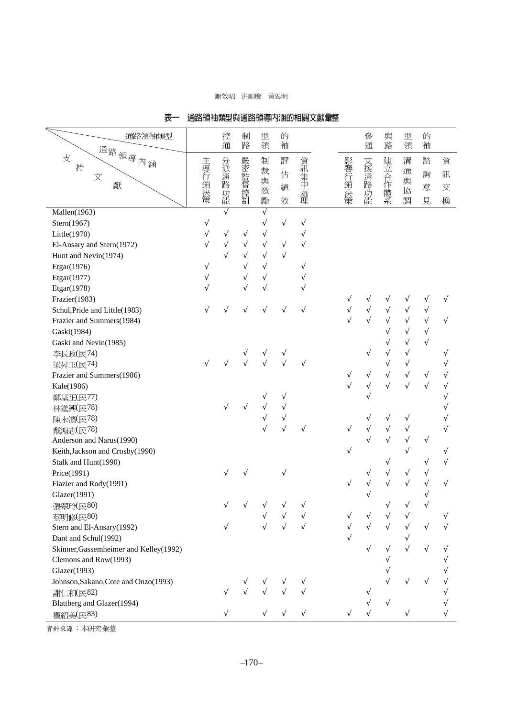#### 謝效昭 洪順慶 黃思明

| 通路領袖類型                                  |           | 控          | 制          | 型          | 的                     |            |           | 參          | 與          | 型          | 的         |           |
|-----------------------------------------|-----------|------------|------------|------------|-----------------------|------------|-----------|------------|------------|------------|-----------|-----------|
| 通路領導內涵                                  |           | 通          | 路          | 領          | 袖                     |            |           | 通          | 路          | 領          | 袖         |           |
| 支                                       |           | 分派         |            | 制          | 評                     | 資訊         | 影響        |            |            | 溝          | 諮         | 資         |
| 持<br>文                                  |           |            | 嚴密監督       | 裁          | 估                     |            |           | 支援通路       |            | 通          | 詢         | 訊         |
| 獻                                       |           | 通路         |            | 與          | 績                     | 【集中處】      | 行銷        |            |            | 與          | 意         | 交         |
|                                         | 主導行銷決策    | 功能         | 控制         | 激<br>勵     | 效                     | 理          | 決策        | 功能         | 建立合作體系     | 協<br>調     | 見         |           |
| Mallen(1963)                            |           | $\sqrt{}$  |            | $\sqrt{}$  |                       |            |           |            |            |            |           | 換         |
| Stern(1967)                             | V         |            |            | V          | $\sqrt{}$             | $\sqrt{}$  |           |            |            |            |           |           |
| Little(1970)                            | $\sqrt{}$ | V          | V          | V          |                       | $\sqrt{}$  |           |            |            |            |           |           |
| El-Ansary and Stern(1972)               | $\sqrt{}$ | $\sqrt{ }$ | $\sqrt{}$  | $\sqrt{ }$ | $\sqrt{}$             | $\sqrt{ }$ |           |            |            |            |           |           |
| Hunt and Nevin(1974)                    |           |            | $\sqrt{ }$ | $\sqrt{ }$ | $\overline{\sqrt{2}}$ |            |           |            |            |            |           |           |
| Etgar(1976)                             | V         |            |            | $\sqrt{}$  |                       | V          |           |            |            |            |           |           |
| Etgar(1977)                             |           |            | $\sqrt{}$  | $\sqrt{}$  |                       |            |           |            |            |            |           |           |
| Etgar(1978)                             |           |            | $\sqrt{}$  |            |                       |            |           |            |            |            |           |           |
| Frazier(1983)                           |           |            |            |            |                       |            |           | $\sqrt{}$  |            |            | V         | V         |
| Schul, Pride and Little(1983)           |           | V          | $\sqrt{}$  | V          |                       | V          | V         | $\sqrt{}$  | V          |            | $\sqrt{}$ |           |
| Frazier and Summers(1984)               |           |            |            |            |                       |            |           | $\sqrt{2}$ | $\sqrt{}$  |            | $\sqrt{}$ |           |
| Gaski(1984)                             |           |            |            |            |                       |            |           |            | V          |            | $\sqrt{}$ |           |
| Gaski and Nevin(1985)                   |           |            |            |            |                       |            |           |            |            |            |           |           |
| 李長政(民74)                                |           |            | ν          | ν          | ٦                     |            |           | N          | $\sqrt{}$  | Ń          |           | V         |
| 梁昇玉(民74)                                |           | V          |            |            |                       |            |           |            | $\sqrt{ }$ | $\sqrt{}$  |           |           |
| Frazier and Summers(1986)               |           |            |            |            |                       |            | V         | $\sqrt{}$  | $\sqrt{}$  | $\sqrt{}$  | V         |           |
| Kale(1986)                              |           |            |            |            |                       |            | $\sqrt{}$ | $\sqrt{}$  | $\sqrt{}$  | $\sqrt{ }$ | $\sqrt{}$ |           |
| 鄭基正(民77)                                |           |            |            |            | ν                     |            |           |            |            |            |           | V         |
| 林進興(民78)                                |           | V          |            |            |                       |            |           |            |            |            |           |           |
| 陳永濱(民78)                                |           |            |            | $\sqrt{}$  | $\sqrt{}$             |            |           | V          | V          | V          |           |           |
| 戴鴻志(民78)                                |           |            |            |            |                       | V          | V         | $\sqrt{}$  | $\sqrt{}$  | V          |           | $\sqrt{}$ |
| Anderson and Narus(1990)                |           |            |            |            |                       |            |           |            | $\sqrt{}$  |            | V         |           |
| Keith, Jackson and Crosby(1990)         |           |            |            |            |                       |            | V         |            |            |            |           |           |
| Stalk and Hunt(1990)                    |           |            |            |            |                       |            |           |            | V          |            |           |           |
| Price(1991)                             |           | V          |            |            | V                     |            |           | ٦          | V          | V          | V         |           |
| Fiazier and Rody(1991)                  |           |            |            |            |                       |            | V         | V          | $\sqrt{}$  |            | V         | V         |
| Glazer(1991)                            |           |            |            |            |                       |            |           | $\sqrt{}$  |            |            | V         |           |
| 張翠玲(民80)                                |           |            |            |            |                       |            |           |            |            |            |           |           |
| 蔡明修(民80)                                |           |            |            |            |                       |            |           |            |            |            |           |           |
| Stern and El-Ansary(1992)               |           |            |            |            |                       |            |           |            |            |            |           |           |
| Dant and Schul(1992)                    |           |            |            |            |                       |            |           |            |            |            |           |           |
| Skinner, Gassemheimer and Kelley (1992) |           |            |            |            |                       |            |           |            |            |            |           |           |
| Clemons and Row(1993)                   |           |            |            |            |                       |            |           |            |            |            |           |           |
| Glazer(1993)                            |           |            |            |            |                       |            |           |            |            |            |           |           |
| Johnson, Sakano, Cote and Onzo(1993)    |           |            |            |            |                       |            |           |            |            |            |           |           |
| 謝仁和(民82)                                |           |            |            |            |                       |            |           |            |            |            |           |           |
| Blattberg and Glazer(1994)              |           |            |            |            |                       |            |           |            |            |            |           |           |
| 瞿紹美(民83)                                |           |            |            |            |                       |            |           |            |            |            |           |           |

#### 表一 诵路領袖類型與诵路領導内涵的相關文獻量整

資料來源:本研究彙整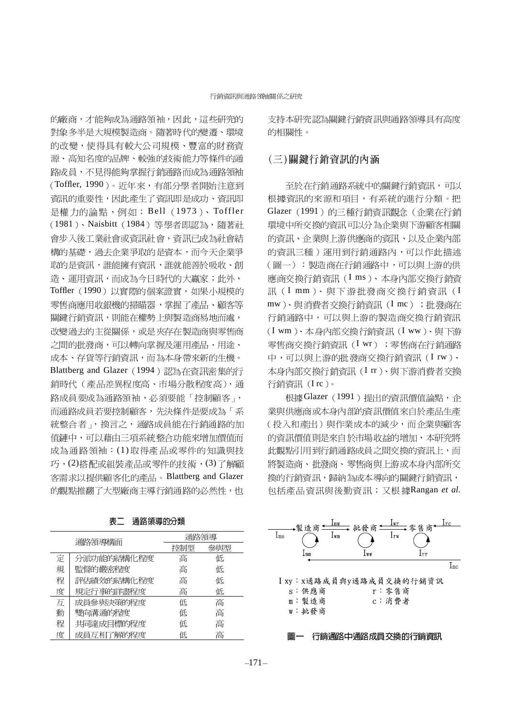的廠商,才能夠成為涌路領袖,因此,這些研究的 對象多半是大規模製造商。隨著時代的變遷、環境 的改變, 使得具有較大公司規模、豐富的財務資 源、高知名度的品牌、較強的技術能力等條件的通 路成員,不見得能夠掌握行銷通路而成為通路領袖 (Toffler, 1990)。近年來,有部分學者開始注意到 資訊的重要性,因此產生了資訊即是成功、資訊即 是權力的論點,例如: Bell (1973)、Toffler (1981)、Naisbitt (1984) 等學者即認為,隨著社 會步入後工業社會或資訊社會,資訊已成為社會結 構的基礎,過去企業爭取的是資本,而今天企業爭 取的是資訊,誰能擁有資訊,誰就能善於吸收、創 造、運用資訊,而成為今日時代的大贏家;此外, Toffler (1990) 以實際的個案證實, 如果小規模的 零售商應用收銀機的掃瞄器,掌握了產品、顧客等 關鍵行銷資訊,則能在權勢上與製造商易地而處, 改變過去的主從關係,或是夾存在製造商與零售商 之間的批發商,可以轉向掌握及運用產品、用途、 成本、存貨等行銷資訊,而為本身帶來新的生機。 Blattberg and Glazer (1994) 認為在資訊密集的行 銷時代 (產品差異程度高、市場分散程度高), 通 路成員要成為通路領袖,必須要能「控制顧客」, 而通路成員若要控制顧客,先決條件是要成為「系 統整合者」,換言之,通路成員能在行銷通路的加 值鏈中,可以藉由三項系統整合功能來增加價值而 成為通路領袖:(1)取得產品或零件的知識與技 巧,(2)搭配或組裝產品或零件的技術,(3)了解顧 客需求以提供顧客化的產品。Blattberg and Glazer 的觀點推翻了大型廠商主導行銷涌路的必然性, 也

| 通路領導構面 |            | 通路領導 |     |
|--------|------------|------|-----|
|        |            | 控制型  | 參與型 |
| 定      | 分派功能的結構化程度 | 高    | 低   |
| 規      | 監督的嚴密程度    | 高    | 低   |
| 程      | 評估績效的結構化程度 | 高    | 低   |
| 度      | 規定行事的詳盡程度  | 高    | 低   |
| 互      | 成員參與決策的程度  | 低    | 高   |
| 動      | 雙向溝通的程度    | 低    | 高   |
| 程      | 共同達成目標的程度  | 低    | 高   |
| 度      | 成員互相了解的程度  | 低    | 高   |

表二 涌路領導的分類

支持本研究認為關鍵行銷資訊與通路領導具有高度 的相關性。

### (三)關鍵行銷資訊的內涵

至於在行銷通路系統中的關鍵行銷資訊,可以 根據資訊的來源和項目,有系統的進行分類。把 Glazer (1991) 的三種行銷資訊觀念 (企業在行銷 環境中所交換的資訊可以分為企業與下游顧客相關 的資訊、企業與上游供應商的資訊、以及企業內部 的資訊三種)運用到行銷通路內,可以作此描述 (圖一):製造商在行銷通路中,可以與上游的供 應商交換行銷資訊(Ims)、本身內部交換行銷資 訊(Imm)、與下游批發商交換行銷資訊(I mw)、與消費者交換行銷資訊(Imc);批發商在 行銷通路中,可以與上游的製造商交換行銷資訊 (I wm)、本身內部交換行銷資訊(I ww)、與下游 零售商交换行銷資訊(I wr); 零售商在行銷通路 中,可以與上游的批發商交換行銷資訊(Irw)、 本身內部交換行銷資訊(Irr)、與下游消費者交換 行銷資訊(Irc)。

根據Glazer (1991)提出的資訊價值論點, 企 業與供應商或本身內部的資訊價值來自於產品生產 (投入和產出)與作業成本的減少,而企業與顧客 的資訊價值則是來自於市場收益的增加,本研究將 此觀點引用到行銷通路成員之間交換的資訊上,而 將製造商、批發商、零售商與上游或本身內部所交 換的行銷資訊,歸納為成本導向的關鍵行銷資訊, Rangan *et al.*

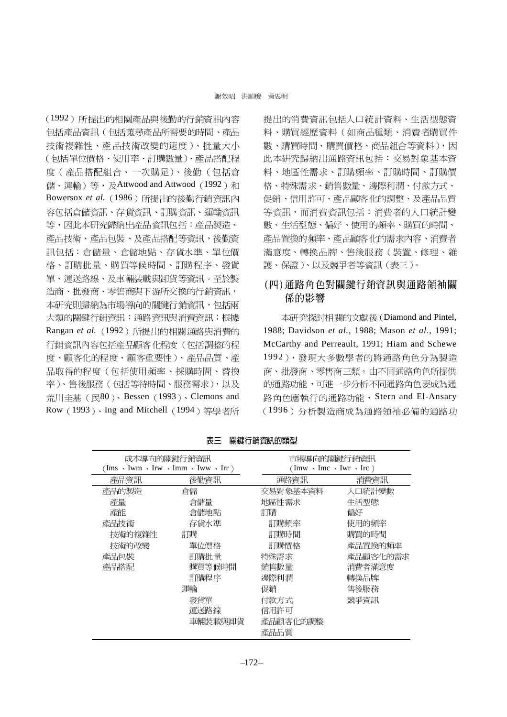(1992) 所提出的相關產品與後勤的行銷資訊內容 包括產品資訊(包括蒐尋產品所需要的時間、產品 技術複雜性、產品技術改變的速度)、批量大小 (包括單位價格、使用率、訂購數量)、產品搭配程 度(產品搭配組合、一次購足)、後勤(包括倉 儲、運輸)等, 及Attwood and Attwood (1992)和 Bowersox et al. (1986) 所提出的後勤行銷資訊內 容包括倉儲資訊、存貨資訊、訂購資訊、運輸資訊 等,因此本研究歸納出產品資訊包括:產品製造、 產品技術、產品包裝、及產品搭配等資訊,後勤資 訊包括:倉儲量、倉儲地點、存貨水準、單位價 格、訂購批量、購買等候時間、訂購程序、發貨 單、運送路線、及車輛裝載與卸貨等資訊。至於製 造商、批發商、零售商與下游所交換的行銷資訊, 本研究則歸納為市場導向的關鍵行銷資訊,包括兩 大類的關鍵行銷資訊:通路資訊與消費資訊;根據 Rangan et al. (1992) 所提出的相關通路與消費的 行銷資訊內容包括產品顧客化程度(包括調整的程 度、顧客化的程度、顧客重要性)、產品品質、產 品取得的程度(包括使用頻率、採購時間、替換 率)、售後服務(包括等待時間、服務需求),以及 荒川丰基 (民80)、Bessen (1993)、Clemons and Row (1993)、Ing and Mitchell (1994) 等學者所 提出的消費資訊包括人口統計資料、生活型態資 料、購買經歷資料(如商品種類、消費者購買件 數、購買時間、購買價格、商品組合等資料),因 此本研究歸納出通路資訊包括:交易對象基本資 料、地區性需求、訂購頻率、訂購時間、訂購價 格、特殊需求、銷售數量、邊際利潤、付款方式、 促銷、信用許可、產品顧客化的調整、及產品品質 等資訊,而消費資訊包括:消費者的人口統計變 數、生活型態、偏好、使用的頻率、購買的時間、 產品置換的頻率、產品顧客化的需求內容、消費者 滿意度、轉換品牌、售後服務(裝置、修理、維 護、保證)、以及競爭者等資訊 (表三)。

### (四)通路角色對關鍵行銷資訊與通路領袖關 係的影響

本研究探討相關的文獻後 (Diamond and Pintel, 1988; Davidson et al., 1988; Mason et al., 1991; McCarthy and Perreault, 1991; Hiam and Schewe 1992),發現大多數學者的將通路角色分為製造 商、批發商、零售商三類。由不同通路角色所提供 的通路功能,可進一步分析不同通路角色要成為通 路角色應執行的通路功能, Stern and El-Ansary (1996) 分析製造商成為通路領袖必備的通路功

|        | 成本導向的關鍵行銷資訊<br>(Ims $\cdot$ Iwm $\cdot$ Irw $\cdot$ Imm $\cdot$ Iww $\cdot$ Irr) |          | 市場導向的關鍵行銷資訊<br>$(\text{Im}w \cdot \text{Im}c \cdot \text{Iwr} \cdot \text{Irc})$ |  |  |
|--------|----------------------------------------------------------------------------------|----------|----------------------------------------------------------------------------------|--|--|
| 產品資訊   | 後勤資訊                                                                             | 通路資訊     | 消費資訊                                                                             |  |  |
| 產品的製造  | 倉儲                                                                               | 交易對象基本資料 | 人口統計變數                                                                           |  |  |
| 產量     | 倉儲量                                                                              | 地區性需求    | 生活型熊                                                                             |  |  |
| 產能     | 倉儲地點                                                                             | 訂購       | 偏好                                                                               |  |  |
| 產品技術   | 存貨水進                                                                             | 訂購頻率     | 使用的頻率                                                                            |  |  |
| 技術的複雜性 | 訂購                                                                               | 訂購時間     | 購買的時間                                                                            |  |  |
| 技術的改變  | 單位價格                                                                             | 訂購價格     | 產品置換的頻率                                                                          |  |  |
| 產品包裝   | 訂購批量                                                                             | 特殊需求     | 產品顧客化的需求                                                                         |  |  |
| 產品搭配   | 購買等候時間                                                                           | 銷售數量     | 消費者滿意度                                                                           |  |  |
|        | 訂購程序                                                                             | 邊際和潤     | 轉換品牌                                                                             |  |  |
|        | 運輸                                                                               | 促銷       | 售後服務                                                                             |  |  |
|        | 發貨單                                                                              | 付款方式     | 競爭資訊                                                                             |  |  |
|        | 運送路線                                                                             | 信用許可     |                                                                                  |  |  |
|        | 車輛裝載與卸貨                                                                          | 產品顧客化的調整 |                                                                                  |  |  |
|        |                                                                                  | 產品品質     |                                                                                  |  |  |

表三 關鍵行銷資訊的類型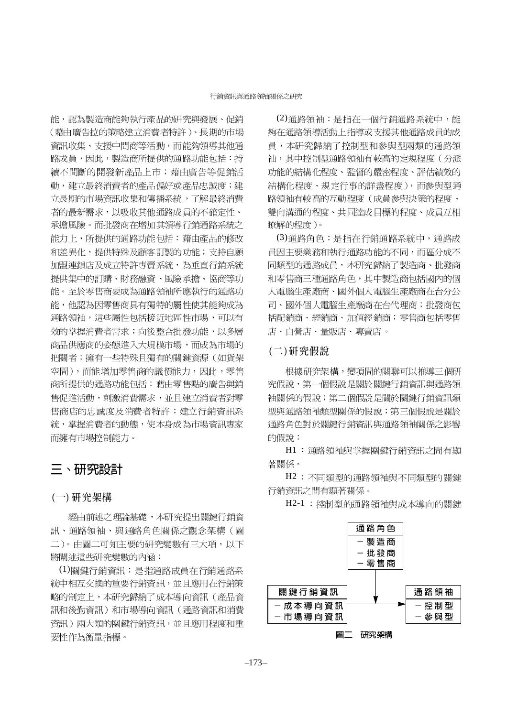能,認為製造商能夠執行產品的研究與發展、促銷 (藉由廣告拉的策略建立消費者特許)、長期的市場 **資訊收集、支援中間商等活動,而能夠領導其他通** 路成員,因此,製造商所提供的通路功能包括:持 續不間斷的開發新產品上市;藉由廣告等促銷活 動,建立最終消費者的產品偏好或產品忠誠度;建 立長期的市場資訊收集和傳播系統,了解最終消費 者的最新需求,以吸收其他通路成員的不確定性、 承擔風險。而批發商在增加其領導行銷通路系統之 能力上,所提供的通路功能包括:藉由產品的修改 和差異化,提供特殊及顧客訂製的功能;支持自願 加盟連鎖店及成立特許專賣系統,為垂直行銷系統 提供集中的訂購、財務融資、風險承擔、協商等功 能。至於零售商要成為通路領袖所應執行的通路功 能,他認為因零售商具有獨特的屬性使其能夠成為 通路領袖,這些屬性包括接近地區性市場,可以有 效的掌握消費者需求;向後整合批發功能,以多層 商品供應商的姿態進入大規模市場,而成為市場的 把關者;擁有一些特殊且獨有的關鍵資源(如貨架 空間),而能增加零售商的議價能力,因此,零售 商所提供的通路功能包括:藉由零售點的廣告與銷 售促進活動,刺激消費需求,並且建立消費者對零 售商店的忠誠度及消費者特許;建立行銷資訊系 統,掌握消費者的動態,使本身成為市場資訊專家 而擁有市場控制能力。

### 三、研究設計

#### (一)研究架構

經由前述之理論基礎,本研究提出關鍵行銷資 訊、通路領袖、與通路角色關係之觀念架構(圖 二)。由圖二可知主要的研究變數有三大項,以下 將闡沭信些研究變數的內涵:

(1)關鍵行銷資訊:是指通路成員在行銷通路系 統中相互交換的重要行銷資訊,並且應用在行銷策 略的制定上,本研究歸納了成本導向資訊(產品資 訊和後勤資訊)和市場導向資訊(通路資訊和消費 資訊)兩大類的關鍵行銷資訊,並且應用程度和重 要性作為衡量指標。

(2)通路領袖:是指在一個行銷通路系統中,能 夠在通路領導活動上指導或支援其他通路成員的成 員,本研究歸納了控制型和參與型兩類的涌路領 袖,其中控制型通路領袖有較高的定規程度(分派 功能的結構化程度、監督的嚴密程度、評估績效的 結構化程度、規定行事的詳盡程度),而參與型通 路領袖有較高的互動程度(成員參與決策的程度、 雙向溝通的程度、共同達成目標的程度、成員互相 瞭解的程度)。

(3)通路角色: 是指在行銷通路系統中, 通路成 員因主要業務和執行通路功能的不同,而區分成不 同類型的通路成員,本研究歸納了製造商、批發商 和零售商三種通路角色,其中製造商包括國內的個 人電腦生產廠商、國外個人電腦生產廠商在台分公 司、國外個人電腦生產廠商在台代理商;批發商包 括配銷商、經銷商、加值經銷商;零售商包括零售 店、自營店、量販店、專賣店。

#### (二)研究假說

根據研究架構,變項間的關聯可以推導三個研 究假說,第一個假說是關於關鍵行銷資訊與通路領 袖關係的假說;第二個假說是關於關鍵行銷資訊類 型與通路領袖類型關係的假說;第三個假說是關於 通路角色對於關鍵行銷資訊與通路領袖關係之影響 的假說:

H1: 通路領袖與掌握關鍵行銷資訊之間有顯 著關係。

H2: 不同類型的通路領袖與不同類型的關鍵 行銷資訊之間有顯著關係。

H2-1: 控制型的通路領袖與成本導向的關鍵

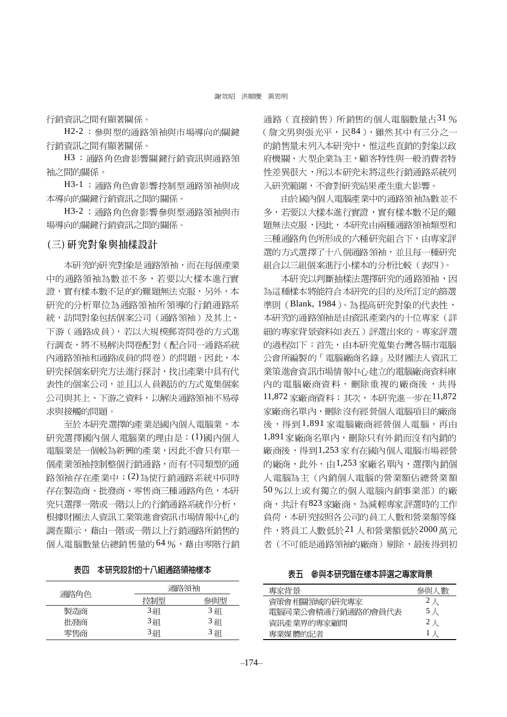行銷資訊之間有顯著關係。

H2-2: 參與型的通路領袖與市場導向的關鍵 行銷資訊之間有顯著關係。

H3: 通路角色會影響關鍵行銷資訊與通路領 袖之間的關係。

H3-1: 通路角色會影響控制型通路領袖與成 本導向的關鍵行銷資訊之間的關係。

H3-2: 通路角色會影響參與型通路領袖與市 場導向的關鍵行銷資訊之間的關係。

#### (三)研究對象與抽樣設計

本研究的研究對象是通路領袖,而在每個產業 中的通路領袖為數並不多,若要以大樣本進行實 證,實有樣本數不足的的難題無法克服,另外,本 研究的分析單位為通路領袖所領導的行銷通路系 統, 訪問對象包括個案公司(通路領袖)及其上、 下游(通路成員),若以大規模郵寄問卷的方式進 行調查,將不易解決問卷配對(配合同一通路系統 內通路領袖和通路成員的問卷)的問題。因此,本 研究採個案研究方法進行探討,找出產業中具有代 表性的個案公司,並且以人員親訪的方式蒐集個案 公司與其上、下游之資料,以解決通路領袖不易尋 求與接觸的問題。

至於本研究選擇的產業是國內個人電腦業,本 研究選擇國內個人雷腦業的理由是: (1)國內個人 電腦業是一個較為新興的產業,因此不會只有單一 個產業領袖控制整個行銷通路,而有不同類型的通 路領袖存在產業中; (2)為使行銷通路系統中同時 存在製造商、批發商、零售商三種通路角色,本研 究只選擇一階或一階以上的行銷通路系統作分析, 根據財團法人資訊工業策進會資訊市場情報中心的 調查顯示,藉由一階或一階以上行銷通路所銷售的 個人電腦數量佔總銷售量的64%,藉由零階行銷

| 表四 | 本研究設計的十八組通路領袖樣才 |  |
|----|-----------------|--|
|----|-----------------|--|

| 通路角色 | 通路領袖 |     |
|------|------|-----|
|      | 控制型  | 參與型 |
| 製造商  | 3組   | 3組  |
| 批發商  | 3組   | 3組  |
| 零售商  | 3組   | 3組  |

涌路(直接銷售)所銷售的個人雷腦數量占31% (詹文男與張光平,民84),雖然其中有三分之一 的銷售量未列入本研究中,惟這些直銷的對象以政 府機關、大型企業為主,顧客特性與一般消費者特 性差異很大,所以本研究未將這些行銷通路系統列 入研究範圍,不會對研究結果產生重大影響。

由於國內個人電腦產業中的通路領袖為數並不 多,若要以大樣本進行實證,實有樣本數不足的難 題無法克服,因此,本研究由兩種通路領袖類型和 三種通路角色所形成的六種研究組合下,由專家評 選的方式選擇了十八個通路領袖,並且每一種研究 組合以三組個案進行小樣本的分析比較(表四)。

本研究以判斷抽樣法選擇研究的通路領袖,因 為這種樣本將能符合本研究的目的及所訂定的篩選 進則 (Blank, 1984)。為提高研究對象的代表性, 本研究的通路領袖是由資訊產業內的十位專家(詳 細的專家背景資料如表五)評選出來的。專家評選 的過程如下:首先,由本研究蒐集台灣各縣市電腦 公會所編製的「電腦廠商名錄」及財團法人資訊工 業策進會資訊市場情報中心建立的電腦廠商資料庫 內的電腦廠商資料,刪除重複的廠商後,共得 11,872 家廠商資料;其次,本研究進一步在11,872 家廠商名單內,刪除沒有經營個人電腦項目的廠商 後,得到1,891家電腦廠商經營個人電腦,再由 1,891 家廠商名單內,刪除只有外銷而沒有內銷的 廠商後,得到1,253家有在國內個人電腦市場經營 的廠商,此外,由1,253家廠名單內,選擇內銷個 人雷腦為主(內銷個人雷腦的營業額佔總營業額 50%以上或有獨立的個人電腦內銷事業部)的廠 商,共計有823家廠商,為減輕專家評選時的工作 負荷,本研究按照各公司的員工人數和營業額等條 件,將員工人數低於21人和營業額低於2000萬元 者(不可能是通路領袖的廠商)剔除,最後得到初

表五 參與本研究潛在樣本評選之專家背景

| 專家背景              | 參與人數 |
|-------------------|------|
| 資策會相關領域的研究專家      | 2人   |
| 雷腦同業公會精通行銷通路的會員代表 | 5 人  |
| 資訊產業界的專家顧問        | 2人   |
| 專業媒體的記者           | 上人   |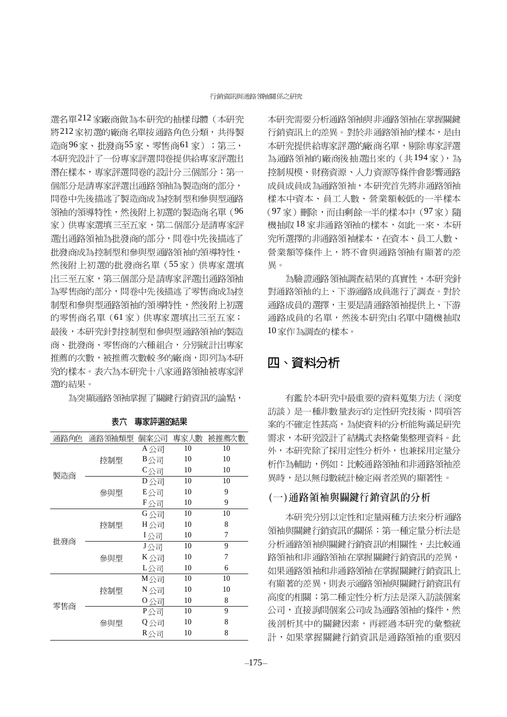選名單212家廠商做為本研究的抽樣母體(本研究 將212家初選的廠商名單按通路角色分類,共得製 造商96家、批發商55家、零售商61家);第三, 本研究設計了一份專家評選問卷提供給專家評選出 潛在樣本,專家評選問卷的設計分三個部分:第一 個部分是請專家評選出通路領袖為製造商的部分, 問卷中先後描述了製造商成為控制型和參與型通路 領袖的領導特性,然後附上初選的製造商名單(96 家)供專家選填三至五家,第二個部分是請專家評 選出通路領袖為批發商的部分,問卷中先後描述了 批發商成為控制型和參與型通路領袖的領導特性, 然後附上初選的批發商名單(55家)供專家選填 出三至五家,第三個部分是請專家評選出通路領袖 為零售商的部分,問卷中先後描述了零售商成為控 制型和參與型通路領袖的領導特性,然後附上初選 的零售商名單(61家)供專家選填出三至五家; 最後,本研究針對控制型和參與型通路領袖的製造 商、批發商、零售商的六種組合,分別統計出專家 推薦的次數,被推薦次數較多的廠商,即列為本研 究的樣本。表六為本研究十八家通路領袖被專家評 選的結果。

為突顯通路領袖掌握了關鍵行銷資訊的論點,

| 通路角色 | 通路領袖類型 | 個案公司 | 專家人數 | 被推薦次數 |
|------|--------|------|------|-------|
|      |        | A公司  | 10   | 10    |
|      | 控制型    | B公司  | 10   | 10    |
|      |        | C公司  | 10   | 10    |
| 製造商  |        | D公司  | 10   | 10    |
|      | 參與型    | E公司  | 10   | 9     |
|      |        | F公司  | 10   | 9     |
|      |        | G公司  | 10   | 10    |
|      | 控制型    | H公司  | 10   | 8     |
|      |        | I公司  | 10   | 7     |
| 批發商  |        | J公司  | 10   | 9     |
|      | 參與型    | K 公司 | 10   | 7     |
|      |        | L公司  | 10   | 6     |
|      |        | M公司  | 10   | 10    |
|      | 控制型    | N 公司 | 10   | 10    |
| 零售商  |        | 0公司  | 10   | 8     |
|      |        | P公司  | 10   | 9     |
|      | 參與型    | Q公司  | 10   | 8     |
|      |        | R公司  | 10   | 8     |

表六 專家評選的結果

本研究需要分析涌路領袖與非涌路領袖在掌握關鍵 行銷資訊上的差異。對於非通路領袖的樣本,是由 本研究提供給專家評選的廠商名單,剔除專家評選 為通路領袖的廠商後抽選出來的(共194家),為 控制規模、財務資源、人力資源等條件會影響通路 成員成員成為通路領袖,本研究首先將非通路領袖 樣本中資本、員工人數、營業額較低的一半樣本 (97家)刪除,而由剩餘一半的樣本中(97家)隨 機抽取18家非通路領袖的樣本,如此一來,本研 究所選擇的非通路領袖樣本,在資本、員工人數、 營業額等條件上,將不會與通路領袖有顯著的差 畢。

為驗證通路領袖調查結果的真實性,本研究針 對通路領袖的上、下游通路成員進行了調查。對於 通路成員的選擇,主要是請通路領袖提供上、下游 通路成員的名單,然後本研究由名單中隨機抽取 10家作為調査的樣本。

# 四、資料分析

有鑑於本研究中最重要的資料蒐集方法(深度 訪談)是一種非數量表示的定性研究技術,問項答 案的不確定性甚高,為使資料的分析能夠滿足研究 需求,本研究設計了結構式表格彙集整理資料。此 外,本研究除了採用定性分析外,也兼採用定量分 析作為輔助,例如:比較通路領袖和非通路領袖差 異時,是以無母數統計檢定兩者差異的顯著性。

#### (一)通路領袖與關鍵行銷資訊的分析

本研究分別以定性和定量兩種方法來分析通路 領袖與關鍵行銷資訊的關係:第一種定量分析法是 分析通路領袖與關鍵行銷資訊的相關性,去比較通 路領袖和非涌路領袖在堂握關鍵行銷資訊的差異, 如果通路領袖和非通路領袖在掌握關鍵行銷資訊上 有顯著的差異,則表示通路領袖與關鍵行銷資訊有 高度的相關; 第二種定性分析方法是深入訪談個案 公司,直接詢問個案公司成為通路領袖的條件,然 後剖析其中的關鍵因素,再經過本研究的彙整統 計,如果掌握關鍵行銷資訊是通路領袖的重要因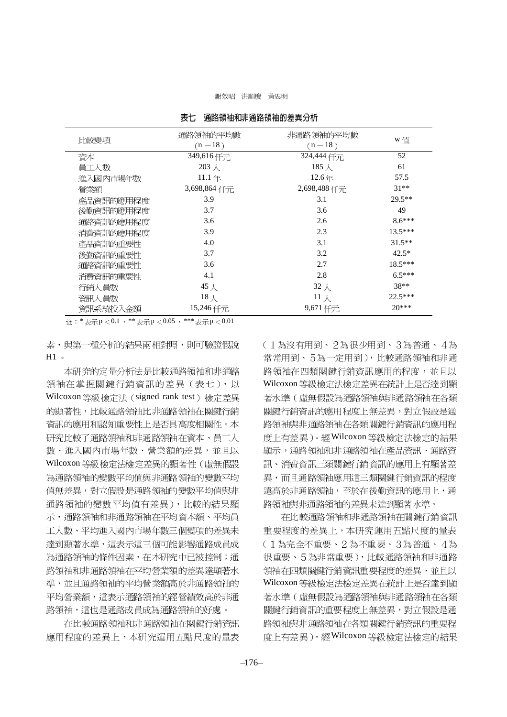#### 謝效昭 洪順慶 黃思明

| 比較變項      | 通路領袖的平均數<br>$(n=18)$  | 非通路領袖的平均數<br>$(n=18)$ | w值        |
|-----------|-----------------------|-----------------------|-----------|
| 資本        | 349,616 仟元            | 324,444 仟元            | 52        |
| 員工人數      | $203 \n\ \mathcal{K}$ | 185 $\lambda$         | 61        |
| 進入國內市場年數  | 11.1年                 | 12.6年                 | 57.5      |
| 營業額       | 3,698,864 仟元          | 2,698,488 仟元          | $31**$    |
| 產品資訊的應用程度 | 3.9                   | 3.1                   | $29.5**$  |
| 後勤資訊的應用程度 | 3.7                   | 3.6                   | 49        |
| 通路資訊的應用程度 | 3.6                   | 2.6                   | $8.6***$  |
| 消費資訊的應用程度 | 3.9                   | 2.3                   | $13.5***$ |
| 產品資訊的重要性  | 4.0                   | 3.1                   | $31.5**$  |
| 後勤資訊的重要性  | 3.7                   | 3.2                   | $42.5*$   |
| 通路資訊的重要性  | 3.6                   | 2.7                   | $18.5***$ |
| 消費資訊的重要性  | 4.1                   | 2.8                   | $6.5***$  |
| 行銷人員數     | 45人                   | 32 $\lambda$          | $38**$    |
| 資訊人員數     | $18$ 人                | $11 \times$           | $22.5***$ |
| 資訊系統投入金額  | 15,246 仟元             | $9,671$ 仟元            | $20***$   |

表七 诵路領袖和非诵路領袖的差異分析

註: \* 表示p < 0.1 , \* \* 表示p < 0.05 , \* \* \* 表示p < 0.01

素,與第一種分析的結果兩相對照,則可驗證假說  $H1$ 

本研究的定量分析法是比較通路領袖和非通路 領袖在掌握關鍵行銷資訊的差異 (表七), 以 Wilcoxon 等級檢定法 (signed rank test) 檢定差異 的顯著性,比較通路領袖比非通路領袖在關鍵行銷 資訊的應用和認知重要性上是否具高度相關性。本 研究比較了通路領袖和非通路領袖在資本、員工人 數、進入國內市場年數、營業額的差異,並且以 Wilcoxon 等級檢定法檢定差異的顯著性(虛無假設 為通路領袖的變數平均值與非通路領袖的變數平均 值無差異,對立假設是通路領袖的變數平均值與非 通路領袖的變數平均值有差異),比較的結果顯 示,通路領袖和非通路領袖在平均資本額、平均員 工人數、平均淮入國內市場年數三個變項的差異未 達到顯著水準,這表示這三個可能影響通路成員成 為通路領袖的條件因素,在本研究中已被控制;通 路領袖和非通路領袖在平均營業額的差異達顯著水 進,並且涌路領袖的平均營業額高於非涌路領袖的 平均營業額,這表示通路領袖的經營績效高於非通 路領袖,這也是通路成員成為通路領袖的好處。

在比較通路領袖和非通路領袖在關鍵行銷資訊 應用程度的差異上,本研究運用五點尺度的量表 (1為沒有用到、2為很少用到、3為普通、4為 常常用到、5為一定用到),比較通路領袖和非通 路領袖在四類關鍵行銷資訊應用的程度,並且以 Wilcoxon 等級檢定法檢定差異在統計上是否達到顯 著水準(虛無假設為通路領袖與非通路領袖在各類 關鍵行銷資訊的應用程度上無差異,對立假設是通 路領袖與非通路領袖在各類關鍵行銷資訊的應用程 度上有差異)。經Wilcoxon 等級檢定法檢定的結果 顯示,通路領袖和非通路領袖在產品資訊、通路資 訊、消費資訊三類關鍵行銷資訊的應用上有顯著差 異,而且通路領袖應用這三類關鍵行銷資訊的程度 遠高於非通路領袖,至於在後勤資訊的應用上,通 路領袖與非通路領袖的差異未達到顯著水準。

在比較通路領袖和非通路領袖在關鍵行銷資訊 重要程度的差異上,本研究運用五點尺度的量表 (1為完全不重要、2為不重要、3為普通、4為 很重要、5為非常重要),比較通路領袖和非通路 領袖在四類關鍵行銷資訊重要程度的差異,並且以 Wilcoxon 等級檢定法檢定差異在統計上是否達到顯 著水準(虛無假設為通路領袖與非通路領袖在各類 關鍵行銷資訊的重要程度上無差異,對立假設是通 路領袖與非通路領袖在各類關鍵行銷資訊的重要程 度上有差異)。經Wilcoxon 等級檢定法檢定的結果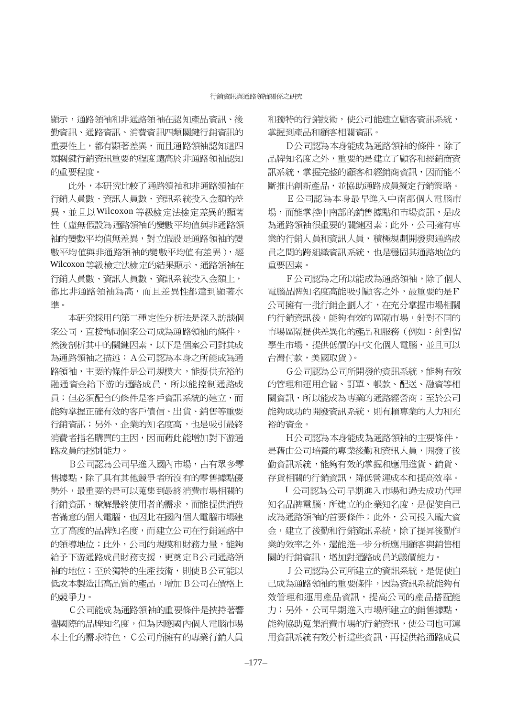顯示,通路領袖和非通路領袖在認知產品資訊、後 勤資訊、通路資訊、消費資訊四類關鍵行銷資訊的 重要性上,都有顯著差異,而且通路領袖認知這四 類關鍵行銷資訊重要的程度遠高於非通路領袖認知 的重要程度。

此外,本研究比較了通路領袖和非通路領袖在 行銷人員數、資訊人員數、資訊系統投入金額的差 異,並且以Wilcoxon等級檢定法檢定差異的顯著 性(虛無假設為通路領袖的變數平均值與非通路領 袖的變數平均值無差異,對立假設是通路領袖的變 數平均值與非通路領袖的變數平均值有差異),經 Wilcoxon 等級檢定法檢定的結果顯示,通路領袖在 行銷人員數、資訊人員數、資訊系統投入金額上, 都比非通路領袖為高,而且差異性都達到顯著水 淮。

本研究採用的第二種定性分析法是深入訪談個 案公司,直接詢問個案公司成為通路領袖的條件, 然後剖析其中的關鍵因素,以下是個案公司對其成 為通路領袖之描述: A公司認為本身之所能成為通 路領袖,主要的條件是公司規模大,能提供充裕的 融通資金給下游的通路成員,所以能控制通路成 員;但必須配合的條件是客戶資訊系統的建立,而 能夠掌握正確有效的客戶債信、出貨、銷售等重要 行銷資訊;另外,企業的知名度高,也是吸引最終 消費者指名購買的主因,因而藉此能增加對下游通 路成員的控制能力。

B公司認為公司早進入國內市場,占有眾多零 售據點,除了具有其他競爭者所沒有的零售據點優 勢外,最重要的是可以蒐集到最終消費市場相關的 行銷資訊,瞭解最終使用者的需求,而能提供消費 者滿意的個人電腦,也因此在國內個人電腦市場建 立了高度的品牌知名度,而建立公司在行銷通路中 的領導地位;此外,公司的規模和財務力量,能夠 給予下游通路成員財務支援,更尊定B公司通路領 袖的地位;至於獨特的生產技術,則使B公司能以 低成本製造出高品質的產品,增加B公司在價格上 的競爭力。

C公司能成為通路領袖的重要條件是挾持著響 譽國際的品牌知名度,但為因應國內個人電腦市場 本土化的需求特色, C公司所擁有的專業行銷人員

和獨特的行銷技術,使公司能建立顧客資訊系統, 掌握到產品和顧客相關資訊。

D公司認為本身能成為通路領袖的條件,除了 品牌知名度之外,重要的是建立了顧客和經銷商資 訊系統,掌握完整的顧客和經銷商資訊,因而能不 斷推出創新產品,並協助通路成員擬定行銷策略。

E 公司認為本身最早進入中南部個人電腦市 場,而能掌控中南部的銷售據點和市場資訊,是成 為通路領袖很重要的關鍵因素;此外,公司擁有專 業的行銷人員和資訊人員,積極規劃開發與通路成 員之間的跨組織資訊系統,也是穩固其通路地位的 重要因素。

F公司認為之所以能成為通路領袖,除了個人 電腦品牌知名度高能吸引顧客之外,最重要的是F 公司擁有一批行銷企劃人才,在充分掌握市場相關 的行銷資訊後,能夠有效的區隔市場,針對不同的 市場區隔提供差異化的產品和服務(例如:針對留 學生市場,提供低價的中文化個人電腦,並且可以 台灣付款,美國取貨)。

G公司認為公司所開發的資訊系統,能夠有效 的管理和運用倉儲、訂單、帳款、配送、融資等相 關資訊,所以能成為專業的通路經營商;至於公司 能夠成功的開發資訊系統,則有賴專業的人力和充 裕的資金。

H公司認為本身能成為通路領袖的主要條件, 是藉由公司培養的專業後勤和資訊人員,開發了後 勤資訊系統,能夠有效的掌握和應用進貨、銷貨、 存貨相關的行銷資訊,降低營運成本和提高效率。

I 公司認為公司早期進入市場和過去成功代理 知名品牌電腦,所建立的企業知名度,是促使自己 成為通路領袖的首要條件;此外,公司投入龐大資 金,建立了後勤和行銷資訊系統,除了提昇後勤作 業的效率之外,還能進一步分析應用顧客與銷售相 關的行銷資訊,增加對通路成員的議價能力。

J 公司認為公司所建立的資訊系統,是促使自 己成為通路領袖的重要條件,因為資訊系統能夠有 效管理和運用產品資訊,提高公司的產品搭配能 力;另外,公司早期進入市場所建立的銷售據點, 能夠協助蒐集消費市場的行銷資訊,使公司也可運 用資訊系統有效分析這些資訊,再提供給通路成員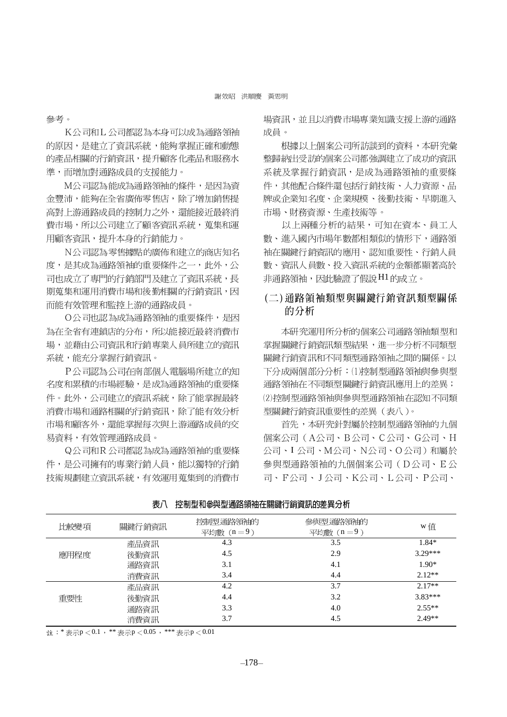參考。

K公司和L公司都認為本身可以成為通路領袖 的原因,是建立了資訊系統,能夠掌握正確和動態 的產品相關的行銷資訊,提升顧客化產品和服務水 進,而增加對通路成員的支援能力。

M公司認為能成為通路領袖的條件,是因為資 金豐沛,能夠在全省廣佈零售店,除了增加銷售提 高對上游通路成員的控制力之外,還能接近最終消 費市場,所以公司建立了顧客資訊系統,蒐集和運 用顧客資訊,提升本身的行銷能力。

N公司認為零售據點的廣佈和建立的商店知名 度,是其成為通路領袖的重要條件之一,此外,公 司也成立了專門的行銷部門及建立了資訊系統,長 期蒐集和運用消費市場和後勤相關的行銷資訊,因 而能有效管理和監控上游的通路成員。

O公司也認為成為通路領袖的重要條件, 是因 為在全省有連鎖店的分布,所以能接近最終消費市 場,並藉由公司資訊和行銷專業人員所建立的資訊 系統,能充分掌握行銷資訊。

P公司認為公司在南部個人電腦場所建立的知 名度和累積的市場經驗,是成為通路領袖的重要條 件。此外,公司建立的資訊系統,除了能掌握最終 消費市場和通路相關的行銷資訊,除了能有效分析 市場和顧客外,還能掌握每次與上游通路成員的交 易資料,有效管理涌路成昌。

Q公司和R公司都認為成為通路領袖的重要條 件,是公司擁有的專業行銷人員,能以獨特的行銷 技術規劃建立資訊系統,有效運用蒐集到的消費市

場資訊,並且以消費市場專業知識支援上游的涌路 成員。

根據以上個案公司所訪談到的資料,本研究彙 整歸納出受訪的個案公司都強調建立了成功的資訊 系統及掌握行銷資訊,是成為通路領袖的重要條 件,其他配合條件還包括行銷技術、人力資源、品 牌或企業知名度、企業規模、後勤技術、早期進入 市場、財務資源、生產技術等。

以上兩種分析的結果,可知在資本、員工人 數、進入國內市場年數都相類似的情形下,通路領 袖在關鍵行銷資訊的應用、認知重要性、行銷人員 數、資訊人員數、投入資訊系統的金額都顯著高於 非通路領袖,因此驗證了假說H1的成立。

### (二)涌路領袖類型與關鍵行銷資訊類型關係 的分析

本研究運用所分析的個案公司通路領袖類型和 掌握關鍵行銷資訊類型結果,進一步分析不同類型 關鍵行銷資訊和不同類型通路領袖之間的關係。以 下分成兩個部分分析: (1) 控制型通路領袖與參與型 通路領袖在不同類型關鍵行銷資訊應用上的差異; (2)控制型通路領袖與參與型通路領袖在認知不同類 型關鍵行銷資訊重要性的差異(表八)。

首先,本研究針對屬於控制型通路領袖的九個 個案公司(A公司、B公司、C公司、G公司、H 公司、I公司、M公司、N公司、O公司)和屬於 參與型通路領袖的九個個案公司(D公司、E公 司、F公司、J公司、K公司、L公司、P公司、

| 比較變項 | 關鍵行銷資訊 | 控制型通路領袖的<br>平均數 $(n=9)$ | 參與型通路領袖的<br>平均數 $(n=9)$ | w值        |
|------|--------|-------------------------|-------------------------|-----------|
|      | 產品資訊   | 4.3                     | 3.5                     | $1.84*$   |
| 應用程度 | 後勤資訊   | 4.5                     | 2.9                     | $3.29***$ |
|      | 通路資訊   | 3.1                     | 4.1                     | $1.90*$   |
|      | 消費資訊   | 3.4                     | 4.4                     | $2.12**$  |
|      | 產品資訊   | 4.2                     | 3.7                     | $2.17**$  |
| 重要性  | 後勤資訊   | 4.4                     | 3.2                     | $3.83***$ |
|      | 通路資訊   | 3.3                     | 4.0                     | $2.55**$  |
|      | 消費資訊   | 3.7                     | 4.5                     | $2.49**$  |

| 表八 | 控制型和參與型通路領袖在關鍵行銷資訊的差異分析 |
|----|-------------------------|
|    |                         |

註:\* 表示p  $< 0.1$ , \*\* 表示p  $< 0.05$ , \*\*\* 表示p  $< 0.01$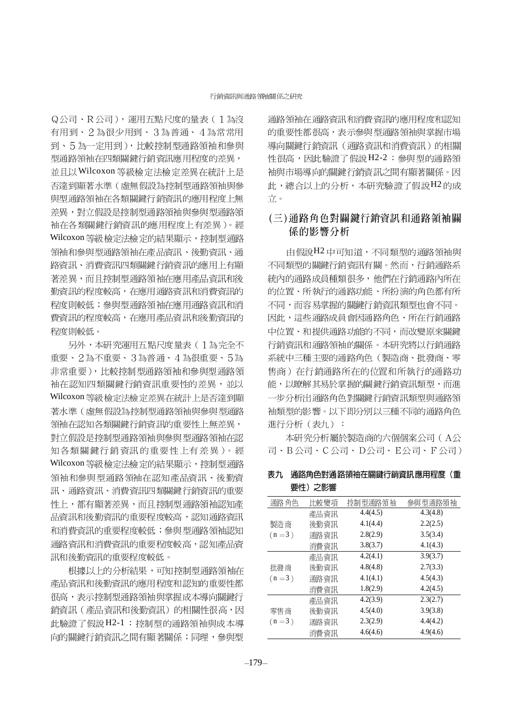Q公司、R公司), 運用五點尺度的量表(1為沒 有用到、2為很少用到、3為普通、4為常常用 到、5為一定用到),比較控制型通路領袖和參與 型通路領袖在四類關鍵行銷資訊應用程度的差異, 並且以Wilcoxon 等級檢定法檢定差異在統計上是 否達到顯著水準(虛無假設為控制型通路領袖與參 與型通路領袖在各類關鍵行銷資訊的應用程度上無 差異,對立假設是控制型通路領袖與參與型通路領 袖在各類關鍵行銷資訊的應用程度上有差異)。經 Wilcoxon 等級檢定法檢定的結果顯示, 控制型通路 領袖和參與型通路領袖在產品資訊、後勤資訊、通 路資訊、消費資訊四類關鍵行銷資訊的應用上有顯 著差異,而且控制型通路領袖在應用產品資訊和後 勤資訊的程度較高,在應用通路資訊和消費資訊的 程度則較低;參與型通路領袖在應用通路資訊和消 費資訊的程度較高,在應用產品資訊和後勤資訊的 程度則較低。

另外,本研究運用五點尺度量表(1為完全不 重要、2為不重要、3為普通、4為很重要、5為 非常重要),比較控制型通路領袖和參與型通路領 袖在認知四類關鍵行銷資訊重要性的差異,並以 Wilcoxon 等級檢定法檢定差異在統計上是否達到顯 著水準(虚無假設為控制型通路領袖與參與型通路 領袖在認知各類關鍵行銷資訊的重要性上無差異, 對立假設是控制型通路領袖與參與型通路領袖在認 知各類關鍵行銷資訊的重要性上有差異)。經 Wilcoxon 等級檢定法檢定的結果顯示, 控制型通路 領袖和參與型通路領袖在認知產品資訊、後勤資 訊、通路資訊、消費資訊四類關鍵行銷資訊的重要 性上,都有顯著差異,而且控制型通路領袖認知產 品資訊和後勤資訊的重要程度較高,認知通路資訊 和消費資訊的重要程度較低;參與型通路領袖認知 通路資訊和消費資訊的重要程度較高,認知產品資 訊和後勤資訊的重要程度較低。

根據以上的分析結果,可知控制型通路領袖在 產品資訊和後勤資訊的應用程度和認知的重要性都 很高,表示控制型通路領袖與掌握成本導向關鍵行 銷資訊(產品資訊和後勤資訊)的相關性很高,因 此驗證了假說H2-1: 控制型的通路領袖與成本導 向的關鍵行銷資訊之間有顯著關係;同理,參與型

通路領袖在通路資訊和消費資訊的應用程度和認知 的重要性都很高,表示參與型通路領袖與掌握市場 導向關鍵行銷資訊(通路資訊和消費資訊)的相關 性很高,因此驗證了假說H2-2:參與型的通路領 袖與市場導向的關鍵行銷資訊之間有顯著關係。因 此,總合以上的分析,本研究驗證了假說H2的成 立。

### (三)通路角色對關鍵行銷資訊和通路領袖關 係的影響分析

由假說H2中可知道,不同類型的通路領袖與 不同類型的關鍵行銷資訊有關。然而,行銷通路系 統內的通路成員種類很多,他們在行銷通路內所在 的位置、所執行的通路功能、所扮演的角色都有所 不同,而容易掌握的關鍵行銷資訊類型也會不同。 因此,這些通路成員會因通路角色、所在行銷通路 中位置、和提供通路功能的不同,而改變原來關鍵 行銷資訊和通路領袖的關係。本研究將以行銷通路 系統中三種主要的通路角色(製造商、批發商、零 售商)在行銷通路所在的位置和所執行的通路功 能,以瞭解其易於掌握的關鍵行銷資訊類型,而進 一步分析出通路角色對關鍵行銷資訊類型與通路領 袖類型的影響。以下即分別以三種不同的通路角色 進行分析(表九):

本研究分析屬於製造商的六個個案公司(A公 司、B公司、C公司、D公司、E公司、F公司)

| 表九 通路角色對通路領袖在關鍵行銷資訊應用程度(重 |  |
|---------------------------|--|
| 要性)之影響                    |  |

| 通路角色    | 比較變項 | 控制型通路領袖  | 參與型通路領袖  |
|---------|------|----------|----------|
|         | 產品資訊 | 4.4(4.5) | 4.3(4.8) |
| 製造商     | 後勤資訊 | 4.1(4.4) | 2.2(2.5) |
| $(n=3)$ | 通路資訊 | 2.8(2.9) | 3.5(3.4) |
|         | 消費資訊 | 3.8(3.7) | 4.1(4.3) |
|         | 產品資訊 | 4.2(4.1) | 3.9(3.7) |
| 批發商     | 後勤資訊 | 4.8(4.8) | 2.7(3.3) |
| $(n=3)$ | 通路資訊 | 4.1(4.1) | 4.5(4.3) |
|         | 消費資訊 | 1.8(2.9) | 4.2(4.5) |
|         | 產品資訊 | 4.2(3.9) | 2.3(2.7) |
| 零售商     | 後勤資訊 | 4.5(4.0) | 3.9(3.8) |
| $(n=3)$ | 通路資訊 | 2.3(2.9) | 4.4(4.2) |
|         | 消費資訊 | 4.6(4.6) | 4.9(4.6) |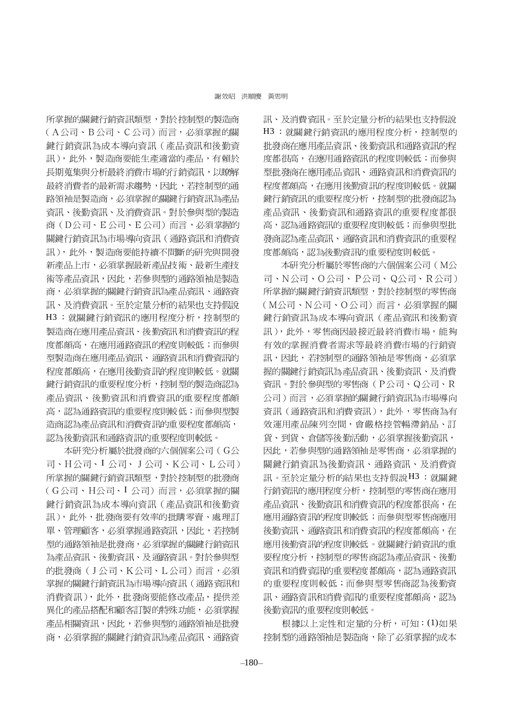所掌握的關鍵行銷資訊類型,對於控制型的製造商 (A公司、B公司、C公司)而言,必須掌握的關 鍵行銷資訊為成本導向資訊(產品資訊和後勤資 訊),此外,製造商要能生產適當的產品,有賴於 長期蒐集與分析最終消費市場的行銷資訊,以瞭解 最終消費者的最新需求趨勢,因此,若控制型的通 路領袖是製造商,必須掌握的關鍵行銷資訊為產品 資訊、後勤資訊、及消費資訊。對於參與型的製造 商(D公司、E公司、E公司)而言,必須掌握的 關鍵行銷資訊為市場導向資訊(通路資訊和消費資 訊),此外,製造商要能持續不間斷的研究與開發 新產品上市,必須掌握最新產品技術、最新生產技 術等產品資訊,因此,若參與型的通路領袖是製造 商,必須掌握的關鍵行銷資訊為產品資訊、通路資 訊、及消費資訊。至於定量分析的結果也支持假說 H3: 就關鍵行銷資訊的應用程度分析, 控制型的 製造商在應用產品資訊、後勤資訊和消費資訊的程 度都頗高,在應用通路資訊的程度則較低;而參與 型製造商在應用產品資訊、通路資訊和消費資訊的 程度都頗高,在應用後勤資訊的程度則較低。就關 鍵行銷資訊的重要程度分析,控制型的製造商認為 產品資訊、後勤資訊和消費資訊的重要程度都頗 高,認為通路資訊的重要程度則較低;而參與型製 造商認為產品資訊和消費資訊的重要程度都頗高, 認為後勤資訊和通路資訊的重要程度則較低。

本研究分析屬於批發商的六個個案公司(G公 司、H公司、I公司、J公司、K公司、L公司) 所掌握的關鍵行銷資訊類型,對於控制型的批發商 (G公司、H公司、I公司)而言,必須掌握的關 鍵行銷資訊為成本導向資訊(產品資訊和後勤資 訊),此外,批發商要有效率的批購零賣、處理訂 單、管理顧客,必須掌握通路資訊,因此,若控制 型的通路領袖是批發商,必須掌握的關鍵行銷資訊 為產品資訊、後勤資訊、及通路資訊。對於參與型 的批發商(J公司、K公司、L公司)而言,必須 掌握的關鍵行銷資訊為市場導向資訊(通路資訊和 消費資訊),此外,批發商要能修改產品,提供差 異化的產品搭配和顧客訂製的特殊功能,必須掌握 產品相關資訊,因此,若參與型的通路領袖是批發 商,必須掌握的關鍵行銷資訊為產品資訊、通路資

訊、及消費資訊。至於定量分析的結果也支持假說 H3 : 就關鍵行銷資訊的應用程度分析, 控制型的 批發商在應用產品資訊、後勤資訊和通路資訊的程 度都很高,在應用通路資訊的程度則較低;而參與 型批發商在應用產品資訊、通路資訊和消費資訊的 程度都頗高,在應用後勤資訊的程度則較低。就關 鍵行銷資訊的重要程度分析,控制型的批發商認為 產品資訊、後勤資訊和通路資訊的重要程度都很 高,認為通路資訊的重要程度則較低;而參與型批 發商認為產品資訊、通路資訊和消費資訊的重要程 度都頗高,認為後勤資訊的重要程度則較低。

本研究分析屬於零售商的六個個案公司(M公 司、N公司、O公司、P公司、Q公司、R公司) 所掌握的關鍵行銷資訊類型,對於控制型的零售商 (M公司、N公司、O公司)而言, 必須掌握的關 鍵行銷資訊為成本導向資訊(產品資訊和後勤資 訊),此外,零售商因最接近最終消費市場,能夠 有效的掌握消費者需求等最終消費市場的行銷資 訊,因此,若控制型的通路領袖是零售商,必須掌 握的關鍵行銷資訊為產品資訊、後勤資訊、及消費 資訊。對於參與型的零售商(P公司、Q公司、R 公司)而言,必須掌握的關鍵行銷資訊為市場導向 資訊(通路資訊和消費資訊),此外,零售商為有 效運用產品陳列空間,會嚴格控管暢滯銷品、訂 貨、到貨、倉儲等後勤活動,必須掌握後勤資訊, 因此,若參與型的通路領袖是零售商,必須掌握的 關鍵行銷資訊為後勤資訊、通路資訊、及消費資 訊。至於定量分析的結果也支持假說H3:就關鍵 行銷資訊的應用程度分析,控制型的零售商在應用 產品資訊、後勤資訊和消費資訊的程度都很高, 在 應用通路資訊的程度則較低;而參與型零售商應用 後勤資訊、通路資訊和消費資訊的程度都頗高,在 應用後勤資訊的程度則較低。就關鍵行銷資訊的重 要程度分析,控制型的零售商認為產品資訊、後勤 資訊和消費資訊的重要程度都頗高,認為通路資訊 的重要程度則較低;而參與型零售商認為後勤資 訊、通路資訊和消費資訊的重要程度都頗高,認為 後勤資訊的重要程度則較低。

根據以上定性和定量的分析,可知:(1)如果 控制型的通路領袖是製造商,除了必須掌握的成本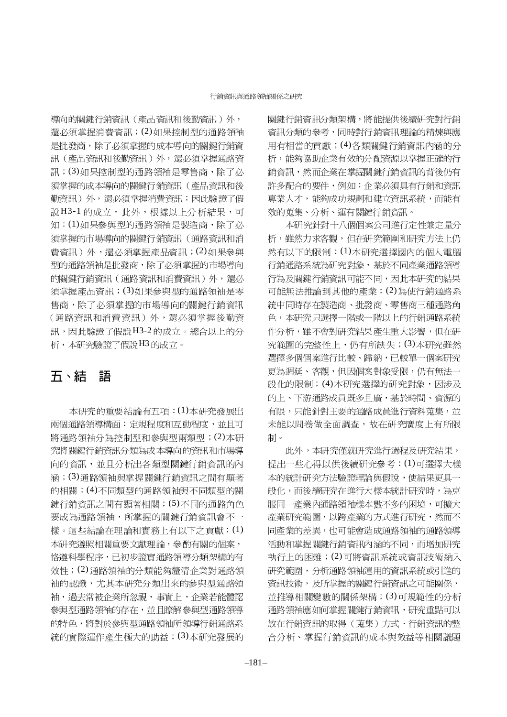導向的關鍵行銷資訊 (產品資訊和後勤資訊) 外, 還必須掌握消費資訊; (2)如果控制型的通路領袖 是批發商,除了必須掌握的成本導向的關鍵行銷資 訊(產品資訊和後勤資訊)外,還必須掌握通路資 訊;(3)如果控制型的通路領袖是零售商,除了必 須掌握的成本導向的關鍵行銷資訊(產品資訊和後 勤資訊)外,還必須掌握消費資訊;因此驗證了假 說H3-1的成立。此外,根據以上分析結果,可 知:(1)如果參與型的通路領袖是製造商,除了必 須掌握的市場導向的關鍵行銷資訊(通路資訊和消 費資訊)外,還必須掌握產品資訊;(2)如果參與 型的通路領袖是批發商,除了必須掌握的市場導向 的關鍵行銷資訊(通路資訊和消費資訊)外,還必 須掌握產品資訊;(3)如果參與型的通路領袖是零 售商,除了必須掌握的市場導向的關鍵行銷資訊 (通路資訊和消費資訊)外,還必須掌握後勤資 訊,因此驗證了假說H3-2的成立。總合以上的分 析,本研究驗證了假說H3的成立。

#### 五、結 語

本研究的重要結論有五項: (1)本研究發展出 兩個通路領導構面: 定規程度和互動程度, 並且可 將通路領袖分為控制型和參與型兩類型;(2)本研 究將關鍵行銷資訊分類為成本導向的資訊和市場導 向的資訊,並且分析出各類型關鍵行銷資訊的內 涵;(3)通路領袖與掌握關鍵行銷資訊之間有顯著 的相關;(4)不同類型的通路領袖與不同類型的關 鍵行銷資訊之間有顯著相關; (5)不同的通路角色 要成為通路領袖,所掌握的關鍵行銷資訊會不一 樣。這些結論在理論和實務上有以下之貢獻: (1) 本研究遵照相關重要文獻理論,參酌有關的個案, 恪遵科學程序,已初步證實通路領導分類架構的有 效性;(2)通路領袖的分類能夠釐清企業對通路領 袖的認識,尤其本研究分類出來的參與型通路領 袖,過去常被企業所忽視,事實上,企業若能體認 參與型通路領袖的存在,並且瞭解參與型通路領導 的特色, 將對於參與型通路領袖所領導行銷通路系 統的實際運作產生極大的助益; (3)本研究發展的

關鍵行銷資訊分類架構,將能提供後續研究對行銷 資訊分類的參考,同時對行銷資訊理論的精煉與應 用有相當的貢獻;(4)各類關鍵行銷資訊內涵的分 析,能夠協助企業有效的分配資源以掌握正確的行 銷資訊,然而企業在掌握關鍵行銷資訊的背後仍有 許多配合的要件,例如:企業必須具有行銷和資訊 專業人才,能夠成功規劃和建立資訊系統,而能有 效的蒐集、分析、運有關鍵行銷資訊。

本研究針對十八個個案公司進行定性兼定量分 析,雖然力求客觀,但在研究範圍和研究方法上仍 然有以下的限制: (1)本研究選擇國內的個人電腦 行銷通路系統為研究對象,基於不同產業通路領導 行為及關鍵行銷資訊可能不同,因此本研究的結果 可能無法推論到其他的產業;(2)為使行銷通路系 統中同時存在製造商、批發商、零售商三種通路角 色,本研究只選擇一階或一階以上的行銷通路系統 作分析,雖不會對研究結果產生重大影響,但在研 究範圍的完整性上,仍有所缺失;(3)本研究雖然 選擇多個個案進行比較、歸納,已較單一個案研究 更為週延、客觀,但因個案對象受限,仍有無法一 般化的限制;(4)本研究選擇的研究對象,因涉及 的上、下游通路成員既多且廣,基於時間、資源的 有限,只能針對主要的通路成員進行資料蒐集,並 未能以問卷做全面調查,故在研究廣度上有所限 制。

此外,本研究僅就研究進行過程及研究結果, 提出一些心得以供後續研究參考: (1)可選擇大樣 本的統計研究方法驗證理論與假說,使結果更具一 般化,而後續研究在進行大樣本統計研究時,為克 服同一產業內通路領袖樣本數不多的困境,可擴大 產業研究範圍,以跨產業的方式進行研究,然而不 同產業的差異,也可能會造成通路領袖的通路領導 活動和掌握關鍵行銷資訊內涵的不同,而增加研究 執行上的困難;(2)可將資訊系統或資訊技術納入 研究範圍,分析通路領袖運用的資訊系統或引進的 資訊技術,及所掌握的關鍵行銷資訊之可能關係, 並推導相關變數的關係架構; (3)可規範性的分析 通路領袖應如何掌握關鍵行銷資訊,研究重點可以 放在行銷資訊的取得(蒐集)方式、行銷資訊的整 合分析、掌握行銷資訊的成本與效益等相關議題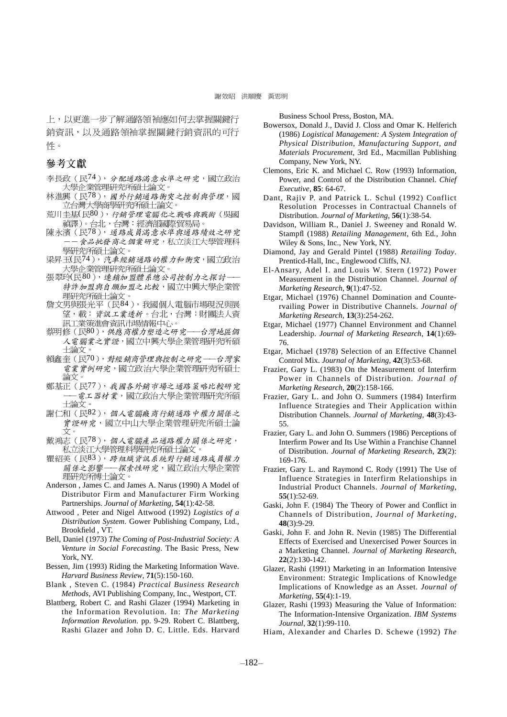上,以更進一步了解通路領袖應如何去掌握關鍵行 銷資訊,以及通路領袖掌握關鍵行銷資訊的可行 性。

#### 參考文獻

李長政(民74), 分配通路滿意水準之研究,國立政治 大學企業管理研究所碩士論文。

- 林進興 (民<sup>78</sup>), 國外行銷通路衝突之控制與管理, 國<br>- 立台灣大學商學研究所碩士論文。
- 荒川圭基(民80), 行銷管理電腦化之戰略與戰術(吳國 ~<br>- - 禎譯)。台北,台灣:經濟部國際貿易局。<br>陳永濱(民78),*通路成員滿意水準與通路績效之研究*
- 食品批發 商之 個案研究,私立淡江大學管理科 學研究所碩士論文。
- 梁昇玉(民74), 汽車經銷通路的權力和衝突, 國立政治 大學企業管理研究所碩士論文。<br>張翠玲(民80), 連鎖加盟體系總公司控制力之探討
- 特許加盟與自願加盟之比較,國立中興大學企業管 理研究所碩士論文。
- 詹文男與張光平(民84),我國個人電腦市場現況與展 望,載:資訊工業透析。台北,台灣:財團法人資 訊工業策進會資訊市場情報中心。
- 蔡明修(民80),供應商權力塑造之研究-一台 灣地區個 人電腦業之實證,國立中興大學企業管理研究所碩 士論文。
- 賴鑫奎(民70),對經銷商管理與控制之研究––台灣家 電業實例研究,國立政治大學企業管理研究所碩士 論文:
- 鄭基正 (民77), 我國各外銷市場之通路策略比較研究 電工器材業,國立政治大學企業管理研究所碩 土論文。
- 謝仁和(民82), 個人電腦廠商行銷通路中權力關係之 **實證研究,國立中山大學企業管理研究所碩士論** 文。
- 戴鴻志 (民78), 個人電腦產品通路權力關係之研究, 私立淡江大學管理科學研究所碩士論文。
- 瞿紹美(民83), 跨組織資訊系統對行銷通路成員權力 關係之影響––探索性研究,國立政治大學企業管 理研究所博士論文。
- Anderson , James C. and James A. Narus (1990) A Model of Distributor Firm and Manufacturer Firm Working Partnerships. *Journal of Marketing*, **54**(1):42-58.
- Attwood , Peter and Nigel Attwood (1992) *Logistics of a Distribution System*. Gower Publishing Company, Ltd., Brookfield , VT.
- Bell, Daniel (1973) *The Coming of Post-Industrial Society: A Venture in Social Forecasting*. The Basic Press, New York, NY.
- Bessen, Jim (1993) Riding the Marketing Information Wave. *Harvard Business Review*, **71**(5):150-160.
- Blank , Steven C. (1984) *Practical Business Research Methods*, AVI Publishing Company, Inc., Westport, CT.
- Blattberg, Robert C. and Rashi Glazer (1994) Marketing in the Information Revolution. In: *The Marketing Information Revolution*. pp. 9-29. Robert C. Blattberg, Rashi Glazer and John D. C. Little. Eds. Harvard

Business School Press, Boston, MA.

- Bowersox, Donald J., David J. Closs and Omar K. Helferich (1986) *Logistical Management: A System Integration of Physical Distribution, Manufacturing Support, and Materials Procurement*, 3rd Ed., Macmillan Publishing Company, New York, NY.
- Clemons, Eric K. and Michael C. Row (1993) Information, Power, and Control of the Distribution Channel. *Chief Executive*, **85**: 64-67.
- Dant, Rajiv P. and Patrick L. Schul (1992) Conflict Resolution Processes in Contractual Channels of Distribution. *Journal of Marketing*, **56**(1):38-54.
- Davidson, William R., Daniel J. Sweeney and Ronald W. Stampfl (1988) *Retailing Management*, 6th Ed., John Wiley & Sons, Inc., New York, NY.
- Diamond, Jay and Gerald Pintel (1988) *Retailing Today*. Prenticd-Hall, Inc., Englewood Cliffs, NJ.
- El-Ansary, Adel I. and Louis W. Stern (1972) Power Measurement in the Distribution Channel. *Journal of Marketing Research*, **9**(1):47-52.
- Etgar, Michael (1976) Channel Domination and Countervailing Power in Distributive Channels. *Journal of Marketing Research*, **13**(3):254-262.
- Etgar, Michael (1977) Channel Environment and Channel Leadership. *Journal of Marketing Research*, **14**(1):69- 76.
- Etgar, Michael (1978) Selection of an Effective Channel Control Mix. *Journal of Marketing*, **42**(3):53-68.
- Frazier, Gary L. (1983) On the Measurement of Interfirm Power in Channels of Distribution. *Journal of Marketing Research*, **20**(2):158-166.
- Frazier, Gary L. and John O. Summers (1984) Interfirm Influence Strategies and Their Application within Distribution Channels. *Journal of Marketing*, **48**(3):43- 55.
- Frazier, Gary L. and John O. Summers (1986) Perceptions of Interfirm Power and Its Use Within a Franchise Channel of Distribution. *Journal of Marketing Research*, **23**(2): 169-176.
- Frazier, Gary L. and Raymond C. Rody (1991) The Use of Influence Strategies in Interfirm Relationships in Industrial Product Channels. *Journal of Marketing*, **55**(1):52-69.
- Gaski, John F. (1984) The Theory of Power and Conflict in Channels of Distribution, *Journal of Marketing*, **48**(3):9-29.
- Gaski, John F. and John R. Nevin (1985) The Differential Effects of Exercised and Unexercised Power Sources in a Marketing Channel. *Journal of Marketing Research*, **22**(2):130-142.
- Glazer, Rashi (1991) Marketing in an Information Intensive Environment: Strategic Implications of Knowledge Implications of Knowledge as an Asset. *Journal of Marketing*, **55**(4):1-19.
- Glazer, Rashi (1993) Measuring the Value of Information: The Information-Intensive Organization. *IBM Systems Journal*, **32**(1):99-110.
- Hiam, Alexander and Charles D. Schewe (1992) *The*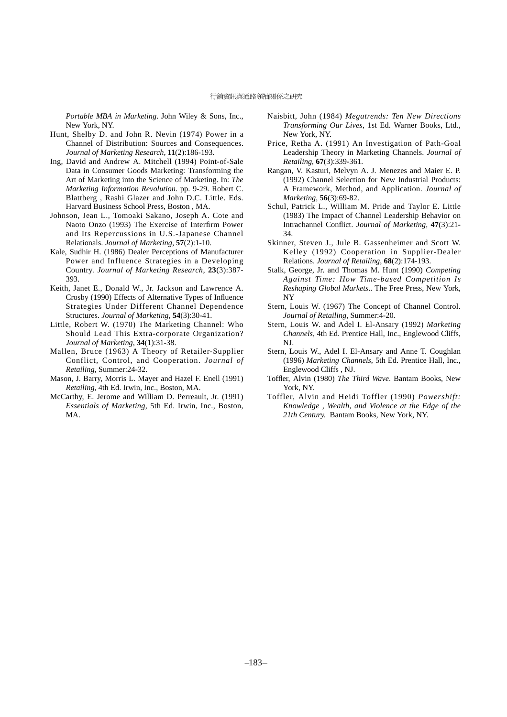*Portable MBA in Marketing*. John Wiley & Sons, Inc., New York, NY.

- Hunt, Shelby D. and John R. Nevin (1974) Power in a Channel of Distribution: Sources and Consequences. *Journal of Marketing Research*, **11**(2):186-193.
- Ing, David and Andrew A. Mitchell (1994) Point-of-Sale Data in Consumer Goods Marketing: Transforming the Art of Marketing into the Science of Marketing. In: *The Marketing Information Revolution*. pp. 9-29. Robert C. Blattberg , Rashi Glazer and John D.C. Little. Eds. Harvard Business School Press, Boston , MA.
- Johnson, Jean L., Tomoaki Sakano, Joseph A. Cote and Naoto Onzo (1993) The Exercise of Interfirm Power and Its Repercussions in U.S.-Japanese Channel Relationals. *Journal of Marketing*, **57**(2):1-10.
- Kale, Sudhir H. (1986) Dealer Perceptions of Manufacturer Power and Influence Strategies in a Developing Country. *Journal of Marketing Research*, **23**(3):387- 393.
- Keith, Janet E., Donald W., Jr. Jackson and Lawrence A. Crosby (1990) Effects of Alternative Types of Influence Strategies Under Different Channel Dependence Structures. *Journal of Marketing*, **54**(3):30-41.
- Little, Robert W. (1970) The Marketing Channel: Who Should Lead This Extra-corporate Organization? *Journal of Marketing*, **34**(1):31-38.
- Mallen, Bruce (1963) A Theory of Retailer-Supplier Conflict, Control, and Cooperation. *Journal of Retailing*, Summer:24-32.
- Mason, J. Barry, Morris L. Mayer and Hazel F. Enell (1991) *Retailing*, 4th Ed. Irwin, Inc., Boston, MA.
- McCarthy, E. Jerome and William D. Perreault, Jr. (1991) *Essentials of Marketing*, 5th Ed. Irwin, Inc., Boston, MA.
- Naisbitt, John (1984) *Megatrends: Ten New Directions Transforming Our Lives*, 1st Ed. Warner Books, Ltd., New York, NY.
- Price, Retha A. (1991) An Investigation of Path-Goal Leadership Theory in Marketing Channels. *Journal of Retailing*, **67**(3):339-361.
- Rangan, V. Kasturi, Melvyn A. J. Menezes and Maier E. P. (1992) Channel Selection for New Industrial Products: A Framework, Method, and Application. *Journal of Marketing*, **56**(3):69-82.
- Schul, Patrick L., William M. Pride and Taylor E. Little (1983) The Impact of Channel Leadership Behavior on Intrachannel Conflict. *Journal of Marketing*, **47**(3):21- 34.
- Skinner, Steven J., Jule B. Gassenheimer and Scott W. Kelley (1992) Cooperation in Supplier-Dealer Relations. *Journal of Retailing*, **68**(2):174-193.
- Stalk, George, Jr. and Thomas M. Hunt (1990) *Competing Against Time: How Time-based Competition Is Reshaping Global Markets*.. The Free Press, New York, NY
- Stern, Louis W. (1967) The Concept of Channel Control. *Journal of Retailing*, Summer:4-20.
- Stern, Louis W. and Adel I. El-Ansary (1992) *Marketing Channels*, 4th Ed. Prentice Hall, Inc., Englewood Cliffs, NJ.
- Stern, Louis W., Adel I. El-Ansary and Anne T. Coughlan (1996) *Marketing Channels*, 5th Ed. Prentice Hall, Inc., Englewood Cliffs , NJ.
- Toffler, Alvin (1980) *The Third Wave*. Bantam Books, New York, NY.
- Toffler, Alvin and Heidi Toffler (1990) *Powershift: Knowledge , Wealth, and Violence at the Edge of the 21th Century.* Bantam Books, New York, NY.